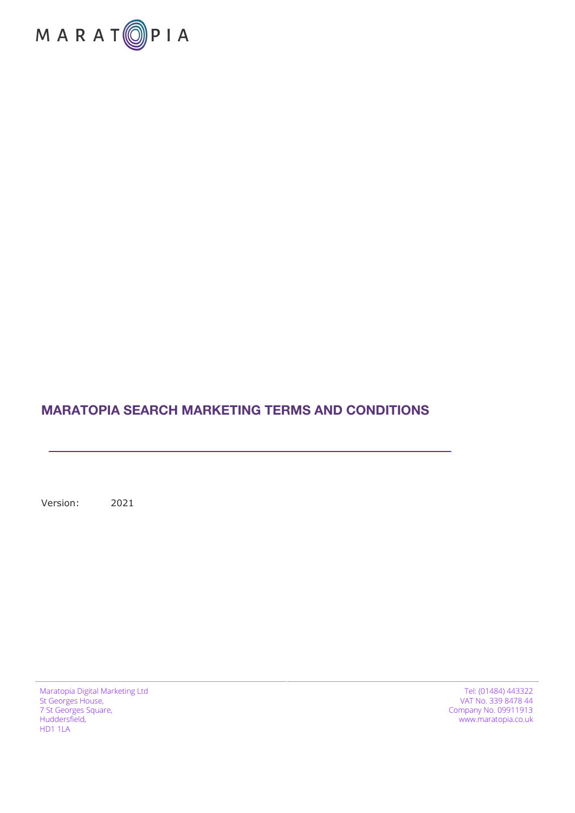

#### **MARATOPIA SEARCH MARKETING TERMS AND CONDITIONS**

Version: 2021

Maratopia Digital Marketing Ltd St Georges House, 7 St Georges Square, Huddersfield, HD1 1LA

Tel: (01484) 443322 VAT No. 339 8478 44 Company No. 09911913 www.maratopia.co.uk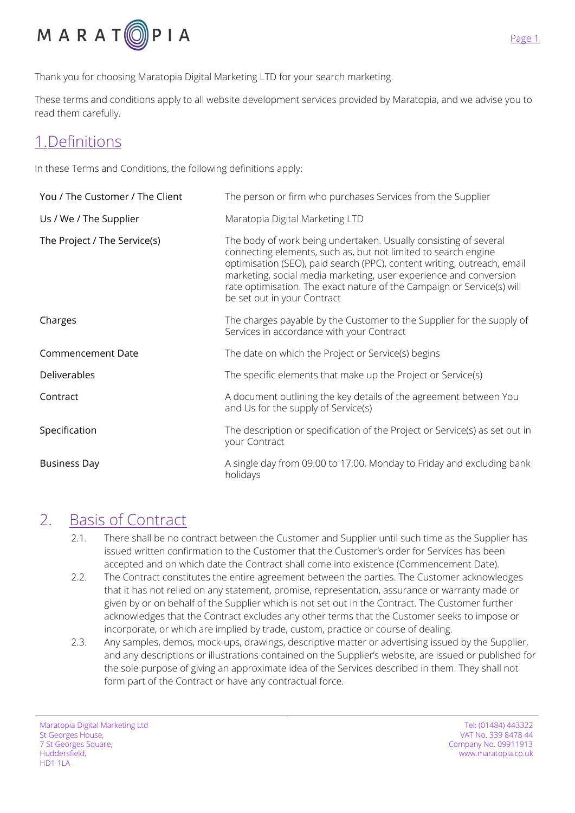

Thank you for choosing Maratopia Digital Marketing LTD for your search marketing.

These terms and conditions apply to all website development services provided by Maratopia, and we advise you to read them carefully.

### 1.Definitions

In these Terms and Conditions, the following definitions apply:

| You / The Customer / The Client | The person or firm who purchases Services from the Supplier                                                                                                                                                                                                                                                                                                                                 |
|---------------------------------|---------------------------------------------------------------------------------------------------------------------------------------------------------------------------------------------------------------------------------------------------------------------------------------------------------------------------------------------------------------------------------------------|
| Us / We / The Supplier          | Maratopia Digital Marketing LTD                                                                                                                                                                                                                                                                                                                                                             |
| The Project / The Service(s)    | The body of work being undertaken. Usually consisting of several<br>connecting elements, such as, but not limited to search engine<br>optimisation (SEO), paid search (PPC), content writing, outreach, email<br>marketing, social media marketing, user experience and conversion<br>rate optimisation. The exact nature of the Campaign or Service(s) will<br>be set out in your Contract |
| Charges                         | The charges payable by the Customer to the Supplier for the supply of<br>Services in accordance with your Contract                                                                                                                                                                                                                                                                          |
| Commencement Date               | The date on which the Project or Service(s) begins                                                                                                                                                                                                                                                                                                                                          |
| Deliverables                    | The specific elements that make up the Project or Service(s)                                                                                                                                                                                                                                                                                                                                |
| Contract                        | A document outlining the key details of the agreement between You<br>and Us for the supply of Service(s)                                                                                                                                                                                                                                                                                    |
| Specification                   | The description or specification of the Project or Service(s) as set out in<br>your Contract                                                                                                                                                                                                                                                                                                |
| <b>Business Day</b>             | A single day from 09:00 to 17:00, Monday to Friday and excluding bank<br>holidays                                                                                                                                                                                                                                                                                                           |

#### 2. Basis of Contract

- 2.1. There shall be no contract between the Customer and Supplier until such time as the Supplier has issued written confirmation to the Customer that the Customer's order for Services has been accepted and on which date the Contract shall come into existence (Commencement Date).
- 2.2. The Contract constitutes the entire agreement between the parties. The Customer acknowledges that it has not relied on any statement, promise, representation, assurance or warranty made or given by or on behalf of the Supplier which is not set out in the Contract. The Customer further acknowledges that the Contract excludes any other terms that the Customer seeks to impose or incorporate, or which are implied by trade, custom, practice or course of dealing.
- 2.3. Any samples, demos, mock-ups, drawings, descriptive matter or advertising issued by the Supplier, and any descriptions or illustrations contained on the Supplier's website, are issued or published for the sole purpose of giving an approximate idea of the Services described in them. They shall not form part of the Contract or have any contractual force.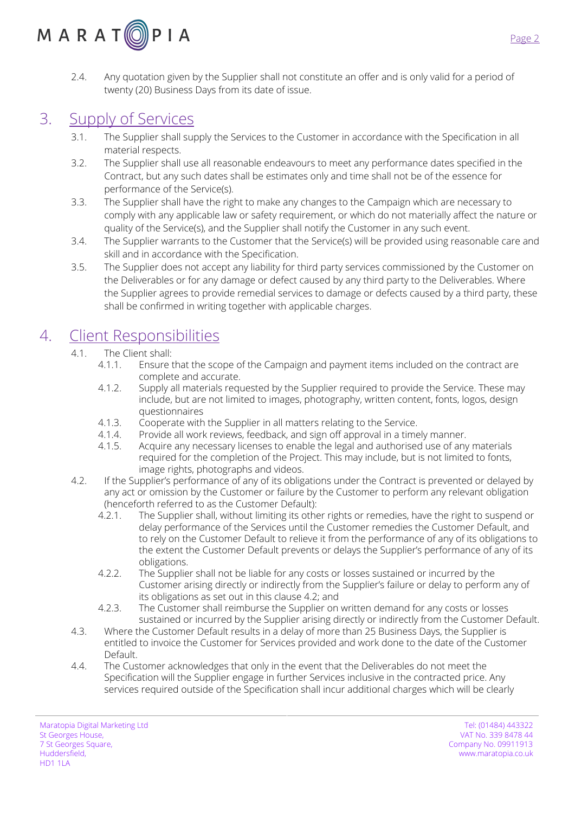# $M$  A R A T  $\textcircled{2}$  P I A

2.4. Any quotation given by the Supplier shall not constitute an offer and is only valid for a period of twenty (20) Business Days from its date of issue.

# 3. Supply of Services

- 3.1. The Supplier shall supply the Services to the Customer in accordance with the Specification in all material respects.
- 3.2. The Supplier shall use all reasonable endeavours to meet any performance dates specified in the Contract, but any such dates shall be estimates only and time shall not be of the essence for performance of the Service(s).
- 3.3. The Supplier shall have the right to make any changes to the Campaign which are necessary to comply with any applicable law or safety requirement, or which do not materially affect the nature or quality of the Service(s), and the Supplier shall notify the Customer in any such event.
- 3.4. The Supplier warrants to the Customer that the Service(s) will be provided using reasonable care and skill and in accordance with the Specification.
- 3.5. The Supplier does not accept any liability for third party services commissioned by the Customer on the Deliverables or for any damage or defect caused by any third party to the Deliverables. Where the Supplier agrees to provide remedial services to damage or defects caused by a third party, these shall be confirmed in writing together with applicable charges.

# 4. Client Responsibilities

- 4.1. The Client shall:
	- 4.1.1. Ensure that the scope of the Campaign and payment items included on the contract are complete and accurate.
	- 4.1.2. Supply all materials requested by the Supplier required to provide the Service. These may include, but are not limited to images, photography, written content, fonts, logos, design questionnaires
	- 4.1.3. Cooperate with the Supplier in all matters relating to the Service.
	- 4.1.4. Provide all work reviews, feedback, and sign off approval in a timely manner.
	- 4.1.5. Acquire any necessary licenses to enable the legal and authorised use of any materials required for the completion of the Project. This may include, but is not limited to fonts, image rights, photographs and videos.
- 4.2. If the Supplier's performance of any of its obligations under the Contract is prevented or delayed by any act or omission by the Customer or failure by the Customer to perform any relevant obligation (henceforth referred to as the Customer Default):
	- 4.2.1. The Supplier shall, without limiting its other rights or remedies, have the right to suspend or delay performance of the Services until the Customer remedies the Customer Default, and to rely on the Customer Default to relieve it from the performance of any of its obligations to the extent the Customer Default prevents or delays the Supplier's performance of any of its obligations.
	- 4.2.2. The Supplier shall not be liable for any costs or losses sustained or incurred by the Customer arising directly or indirectly from the Supplier's failure or delay to perform any of its obligations as set out in this clause 4.2; and
	- 4.2.3. The Customer shall reimburse the Supplier on written demand for any costs or losses sustained or incurred by the Supplier arising directly or indirectly from the Customer Default.
- 4.3. Where the Customer Default results in a delay of more than 25 Business Days, the Supplier is entitled to invoice the Customer for Services provided and work done to the date of the Customer Default.
- 4.4. The Customer acknowledges that only in the event that the Deliverables do not meet the Specification will the Supplier engage in further Services inclusive in the contracted price. Any services required outside of the Specification shall incur additional charges which will be clearly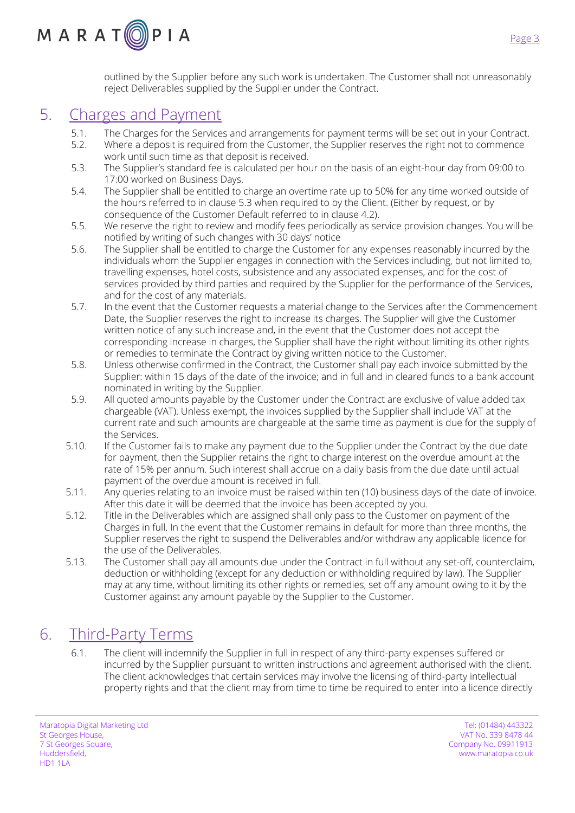outlined by the Supplier before any such work is undertaken. The Customer shall not unreasonably reject Deliverables supplied by the Supplier under the Contract.

## 5. Charges and Payment

 $M$  A R A T  $\textcircled{2}$  P I A

- 
- 5.1. The Charges for the Services and arrangements for payment terms will be set out in your Contract.<br>5.2. Where a deposit is required from the Customer, the Supplier reserves the right not to commence Where a deposit is required from the Customer, the Supplier reserves the right not to commence work until such time as that deposit is received.
- 5.3. The Supplier's standard fee is calculated per hour on the basis of an eight-hour day from 09:00 to 17:00 worked on Business Days.
- 5.4. The Supplier shall be entitled to charge an overtime rate up to 50% for any time worked outside of the hours referred to in clause 5.3 when required to by the Client. (Either by request, or by consequence of the Customer Default referred to in clause 4.2).
- 5.5. We reserve the right to review and modify fees periodically as service provision changes. You will be notified by writing of such changes with 30 days' notice
- 5.6. The Supplier shall be entitled to charge the Customer for any expenses reasonably incurred by the individuals whom the Supplier engages in connection with the Services including, but not limited to, travelling expenses, hotel costs, subsistence and any associated expenses, and for the cost of services provided by third parties and required by the Supplier for the performance of the Services, and for the cost of any materials.
- 5.7. In the event that the Customer requests a material change to the Services after the Commencement Date, the Supplier reserves the right to increase its charges. The Supplier will give the Customer written notice of any such increase and, in the event that the Customer does not accept the corresponding increase in charges, the Supplier shall have the right without limiting its other rights or remedies to terminate the Contract by giving written notice to the Customer.
- 5.8. Unless otherwise confirmed in the Contract, the Customer shall pay each invoice submitted by the Supplier: within 15 days of the date of the invoice; and in full and in cleared funds to a bank account nominated in writing by the Supplier.
- 5.9. All quoted amounts payable by the Customer under the Contract are exclusive of value added tax chargeable (VAT). Unless exempt, the invoices supplied by the Supplier shall include VAT at the current rate and such amounts are chargeable at the same time as payment is due for the supply of the Services.
- 5.10. If the Customer fails to make any payment due to the Supplier under the Contract by the due date for payment, then the Supplier retains the right to charge interest on the overdue amount at the rate of 15% per annum. Such interest shall accrue on a daily basis from the due date until actual payment of the overdue amount is received in full.
- 5.11. Any queries relating to an invoice must be raised within ten (10) business days of the date of invoice. After this date it will be deemed that the invoice has been accepted by you.
- 5.12. Title in the Deliverables which are assigned shall only pass to the Customer on payment of the Charges in full. In the event that the Customer remains in default for more than three months, the Supplier reserves the right to suspend the Deliverables and/or withdraw any applicable licence for the use of the Deliverables.
- 5.13. The Customer shall pay all amounts due under the Contract in full without any set-off, counterclaim, deduction or withholding (except for any deduction or withholding required by law). The Supplier may at any time, without limiting its other rights or remedies, set off any amount owing to it by the Customer against any amount payable by the Supplier to the Customer.

# 6. Third-Party Terms

6.1. The client will indemnify the Supplier in full in respect of any third-party expenses suffered or incurred by the Supplier pursuant to written instructions and agreement authorised with the client. The client acknowledges that certain services may involve the licensing of third-party intellectual property rights and that the client may from time to time be required to enter into a licence directly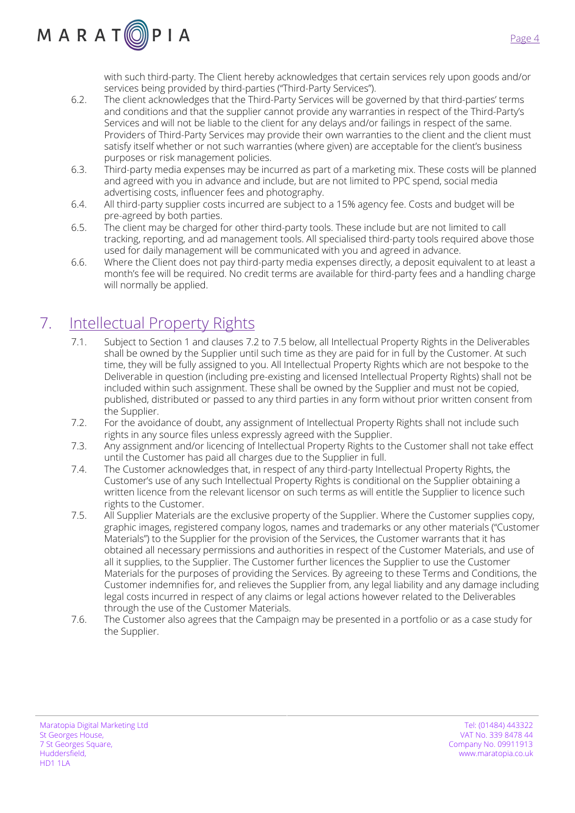

with such third-party. The Client hereby acknowledges that certain services rely upon goods and/or services being provided by third-parties ("Third-Party Services").

- 6.2. The client acknowledges that the Third-Party Services will be governed by that third-parties' terms and conditions and that the supplier cannot provide any warranties in respect of the Third-Party's Services and will not be liable to the client for any delays and/or failings in respect of the same. Providers of Third-Party Services may provide their own warranties to the client and the client must satisfy itself whether or not such warranties (where given) are acceptable for the client's business purposes or risk management policies.
- 6.3. Third-party media expenses may be incurred as part of a marketing mix. These costs will be planned and agreed with you in advance and include, but are not limited to PPC spend, social media advertising costs, influencer fees and photography.
- 6.4. All third-party supplier costs incurred are subject to a 15% agency fee. Costs and budget will be pre-agreed by both parties.
- 6.5. The client may be charged for other third-party tools. These include but are not limited to call tracking, reporting, and ad management tools. All specialised third-party tools required above those used for daily management will be communicated with you and agreed in advance.
- 6.6. Where the Client does not pay third-party media expenses directly, a deposit equivalent to at least a month's fee will be required. No credit terms are available for third-party fees and a handling charge will normally be applied.

# 7. Intellectual Property Rights

- 7.1. Subject to Section 1 and clauses 7.2 to 7.5 below, all Intellectual Property Rights in the Deliverables shall be owned by the Supplier until such time as they are paid for in full by the Customer. At such time, they will be fully assigned to you. All Intellectual Property Rights which are not bespoke to the Deliverable in question (including pre-existing and licensed Intellectual Property Rights) shall not be included within such assignment. These shall be owned by the Supplier and must not be copied, published, distributed or passed to any third parties in any form without prior written consent from the Supplier.
- 7.2. For the avoidance of doubt, any assignment of Intellectual Property Rights shall not include such rights in any source files unless expressly agreed with the Supplier.
- 7.3. Any assignment and/or licencing of Intellectual Property Rights to the Customer shall not take effect until the Customer has paid all charges due to the Supplier in full.
- 7.4. The Customer acknowledges that, in respect of any third-party Intellectual Property Rights, the Customer's use of any such Intellectual Property Rights is conditional on the Supplier obtaining a written licence from the relevant licensor on such terms as will entitle the Supplier to licence such rights to the Customer.
- 7.5. All Supplier Materials are the exclusive property of the Supplier. Where the Customer supplies copy, graphic images, registered company logos, names and trademarks or any other materials ("Customer Materials") to the Supplier for the provision of the Services, the Customer warrants that it has obtained all necessary permissions and authorities in respect of the Customer Materials, and use of all it supplies, to the Supplier. The Customer further licences the Supplier to use the Customer Materials for the purposes of providing the Services. By agreeing to these Terms and Conditions, the Customer indemnifies for, and relieves the Supplier from, any legal liability and any damage including legal costs incurred in respect of any claims or legal actions however related to the Deliverables through the use of the Customer Materials.
- 7.6. The Customer also agrees that the Campaign may be presented in a portfolio or as a case study for the Supplier.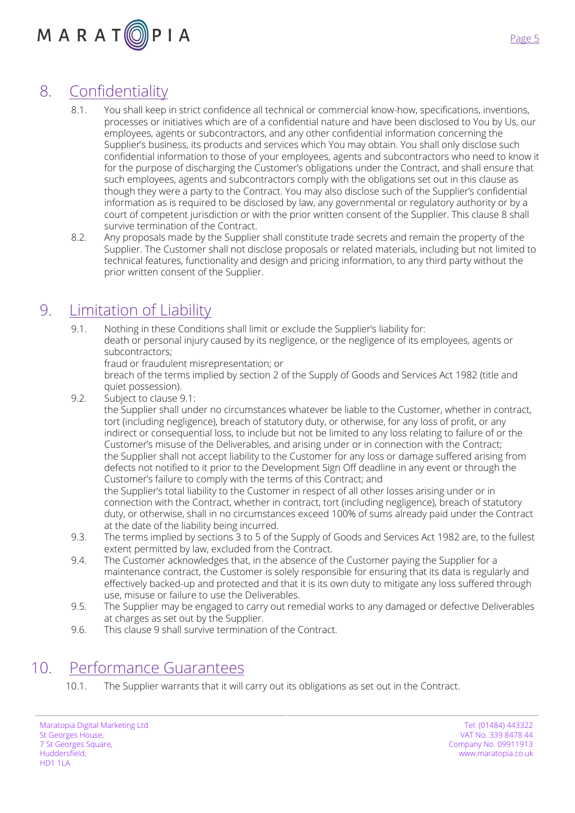

## 8. Confidentiality

- 8.1. You shall keep in strict confidence all technical or commercial know-how, specifications, inventions, processes or initiatives which are of a confidential nature and have been disclosed to You by Us, our employees, agents or subcontractors, and any other confidential information concerning the Supplier's business, its products and services which You may obtain. You shall only disclose such confidential information to those of your employees, agents and subcontractors who need to know it for the purpose of discharging the Customer's obligations under the Contract, and shall ensure that such employees, agents and subcontractors comply with the obligations set out in this clause as though they were a party to the Contract. You may also disclose such of the Supplier's confidential information as is required to be disclosed by law, any governmental or regulatory authority or by a court of competent jurisdiction or with the prior written consent of the Supplier. This clause 8 shall survive termination of the Contract.
- 8.2. Any proposals made by the Supplier shall constitute trade secrets and remain the property of the Supplier. The Customer shall not disclose proposals or related materials, including but not limited to technical features, functionality and design and pricing information, to any third party without the prior written consent of the Supplier.

#### 9. Limitation of Liability

- 9.1. Nothing in these Conditions shall limit or exclude the Supplier's liability for: death or personal injury caused by its negligence, or the negligence of its employees, agents or subcontractors;
	- fraud or fraudulent misrepresentation; or

breach of the terms implied by section 2 of the Supply of Goods and Services Act 1982 (title and quiet possession).

9.2. Subject to clause 9.1:

the Supplier shall under no circumstances whatever be liable to the Customer, whether in contract, tort (including negligence), breach of statutory duty, or otherwise, for any loss of profit, or any indirect or consequential loss, to include but not be limited to any loss relating to failure of or the Customer's misuse of the Deliverables, and arising under or in connection with the Contract; the Supplier shall not accept liability to the Customer for any loss or damage suffered arising from defects not notified to it prior to the Development Sign Off deadline in any event or through the Customer's failure to comply with the terms of this Contract; and

the Supplier's total liability to the Customer in respect of all other losses arising under or in connection with the Contract, whether in contract, tort (including negligence), breach of statutory duty, or otherwise, shall in no circumstances exceed 100% of sums already paid under the Contract at the date of the liability being incurred.

- 9.3. The terms implied by sections 3 to 5 of the Supply of Goods and Services Act 1982 are, to the fullest extent permitted by law, excluded from the Contract.
- 9.4. The Customer acknowledges that, in the absence of the Customer paying the Supplier for a maintenance contract, the Customer is solely responsible for ensuring that its data is regularly and effectively backed-up and protected and that it is its own duty to mitigate any loss suffered through use, misuse or failure to use the Deliverables.
- 9.5. The Supplier may be engaged to carry out remedial works to any damaged or defective Deliverables at charges as set out by the Supplier.
- 9.6. This clause 9 shall survive termination of the Contract.

#### 10. Performance Guarantees

10.1. The Supplier warrants that it will carry out its obligations as set out in the Contract.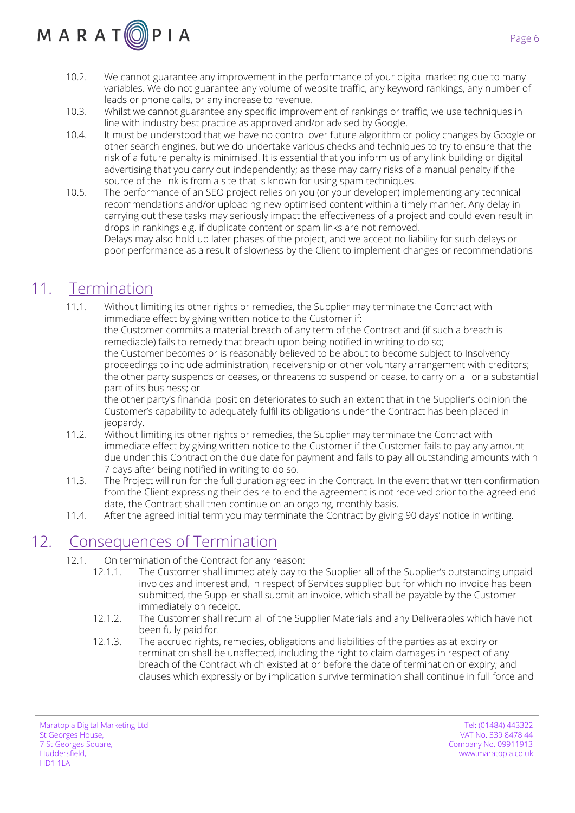# $M$  A R A T  $\textcircled{\scriptsize{0}}$  P I A

- 10.2. We cannot guarantee any improvement in the performance of your digital marketing due to many variables. We do not guarantee any volume of website traffic, any keyword rankings, any number of leads or phone calls, or any increase to revenue.
- 10.3. Whilst we cannot guarantee any specific improvement of rankings or traffic, we use techniques in line with industry best practice as approved and/or advised by Google.
- 10.4. It must be understood that we have no control over future algorithm or policy changes by Google or other search engines, but we do undertake various checks and techniques to try to ensure that the risk of a future penalty is minimised. It is essential that you inform us of any link building or digital advertising that you carry out independently; as these may carry risks of a manual penalty if the source of the link is from a site that is known for using spam techniques.
- 10.5. The performance of an SEO project relies on you (or your developer) implementing any technical recommendations and/or uploading new optimised content within a timely manner. Any delay in carrying out these tasks may seriously impact the effectiveness of a project and could even result in drops in rankings e.g. if duplicate content or spam links are not removed. Delays may also hold up later phases of the project, and we accept no liability for such delays or

poor performance as a result of slowness by the Client to implement changes or recommendations

# 11. Termination

11.1. Without limiting its other rights or remedies, the Supplier may terminate the Contract with immediate effect by giving written notice to the Customer if:

the Customer commits a material breach of any term of the Contract and (if such a breach is remediable) fails to remedy that breach upon being notified in writing to do so; the Customer becomes or is reasonably believed to be about to become subject to Insolvency proceedings to include administration, receivership or other voluntary arrangement with creditors; the other party suspends or ceases, or threatens to suspend or cease, to carry on all or a substantial part of its business; or

the other party's financial position deteriorates to such an extent that in the Supplier's opinion the Customer's capability to adequately fulfil its obligations under the Contract has been placed in jeopardy.

- 11.2. Without limiting its other rights or remedies, the Supplier may terminate the Contract with immediate effect by giving written notice to the Customer if the Customer fails to pay any amount due under this Contract on the due date for payment and fails to pay all outstanding amounts within 7 days after being notified in writing to do so.
- 11.3. The Project will run for the full duration agreed in the Contract. In the event that written confirmation from the Client expressing their desire to end the agreement is not received prior to the agreed end date, the Contract shall then continue on an ongoing, monthly basis.
- 11.4. After the agreed initial term you may terminate the Contract by giving 90 days' notice in writing.

#### 12. Consequences of Termination

- 12.1. On termination of the Contract for any reason:
	- 12.1.1. The Customer shall immediately pay to the Supplier all of the Supplier's outstanding unpaid invoices and interest and, in respect of Services supplied but for which no invoice has been submitted, the Supplier shall submit an invoice, which shall be payable by the Customer immediately on receipt.
	- 12.1.2. The Customer shall return all of the Supplier Materials and any Deliverables which have not been fully paid for.
	- 12.1.3. The accrued rights, remedies, obligations and liabilities of the parties as at expiry or termination shall be unaffected, including the right to claim damages in respect of any breach of the Contract which existed at or before the date of termination or expiry; and clauses which expressly or by implication survive termination shall continue in full force and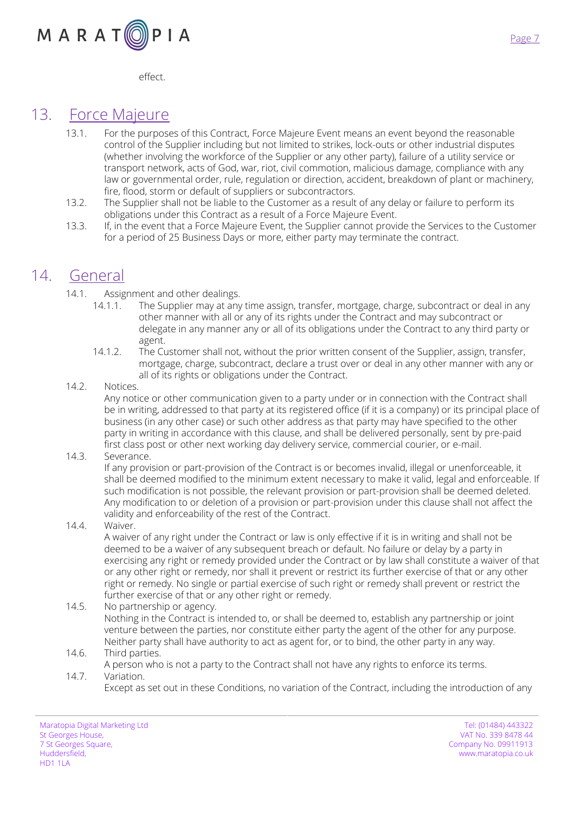

Page 7

effect.

#### 13. Force Majeure

- 13.1. For the purposes of this Contract, Force Majeure Event means an event beyond the reasonable control of the Supplier including but not limited to strikes, lock-outs or other industrial disputes (whether involving the workforce of the Supplier or any other party), failure of a utility service or transport network, acts of God, war, riot, civil commotion, malicious damage, compliance with any law or governmental order, rule, regulation or direction, accident, breakdown of plant or machinery, fire, flood, storm or default of suppliers or subcontractors.
- 13.2. The Supplier shall not be liable to the Customer as a result of any delay or failure to perform its obligations under this Contract as a result of a Force Majeure Event.
- 13.3. If, in the event that a Force Majeure Event, the Supplier cannot provide the Services to the Customer for a period of 25 Business Days or more, either party may terminate the contract.

#### 14. General

- 14.1. Assignment and other dealings.
	- 14.1.1. The Supplier may at any time assign, transfer, mortgage, charge, subcontract or deal in any other manner with all or any of its rights under the Contract and may subcontract or delegate in any manner any or all of its obligations under the Contract to any third party or agent.
	- 14.1.2. The Customer shall not, without the prior written consent of the Supplier, assign, transfer, mortgage, charge, subcontract, declare a trust over or deal in any other manner with any or all of its rights or obligations under the Contract.
- 14.2. Notices.

Any notice or other communication given to a party under or in connection with the Contract shall be in writing, addressed to that party at its registered office (if it is a company) or its principal place of business (in any other case) or such other address as that party may have specified to the other party in writing in accordance with this clause, and shall be delivered personally, sent by pre-paid first class post or other next working day delivery service, commercial courier, or e-mail.

14.3. Severance.

If any provision or part-provision of the Contract is or becomes invalid, illegal or unenforceable, it shall be deemed modified to the minimum extent necessary to make it valid, legal and enforceable. If such modification is not possible, the relevant provision or part-provision shall be deemed deleted. Any modification to or deletion of a provision or part-provision under this clause shall not affect the validity and enforceability of the rest of the Contract.

14.4. Waiver.

A waiver of any right under the Contract or law is only effective if it is in writing and shall not be deemed to be a waiver of any subsequent breach or default. No failure or delay by a party in exercising any right or remedy provided under the Contract or by law shall constitute a waiver of that or any other right or remedy, nor shall it prevent or restrict its further exercise of that or any other right or remedy. No single or partial exercise of such right or remedy shall prevent or restrict the further exercise of that or any other right or remedy.

14.5. No partnership or agency.

Nothing in the Contract is intended to, or shall be deemed to, establish any partnership or joint venture between the parties, nor constitute either party the agent of the other for any purpose. Neither party shall have authority to act as agent for, or to bind, the other party in any way.

- 14.6. Third parties.
- A person who is not a party to the Contract shall not have any rights to enforce its terms. 14.7. Variation.
	- Except as set out in these Conditions, no variation of the Contract, including the introduction of any